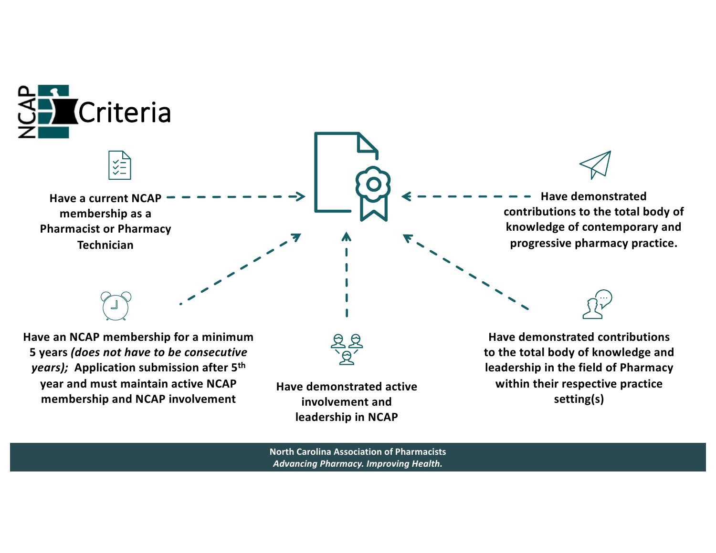

**North Carolina Association of Pharmacists** *Advancing Pharmacy. Improving Health.*